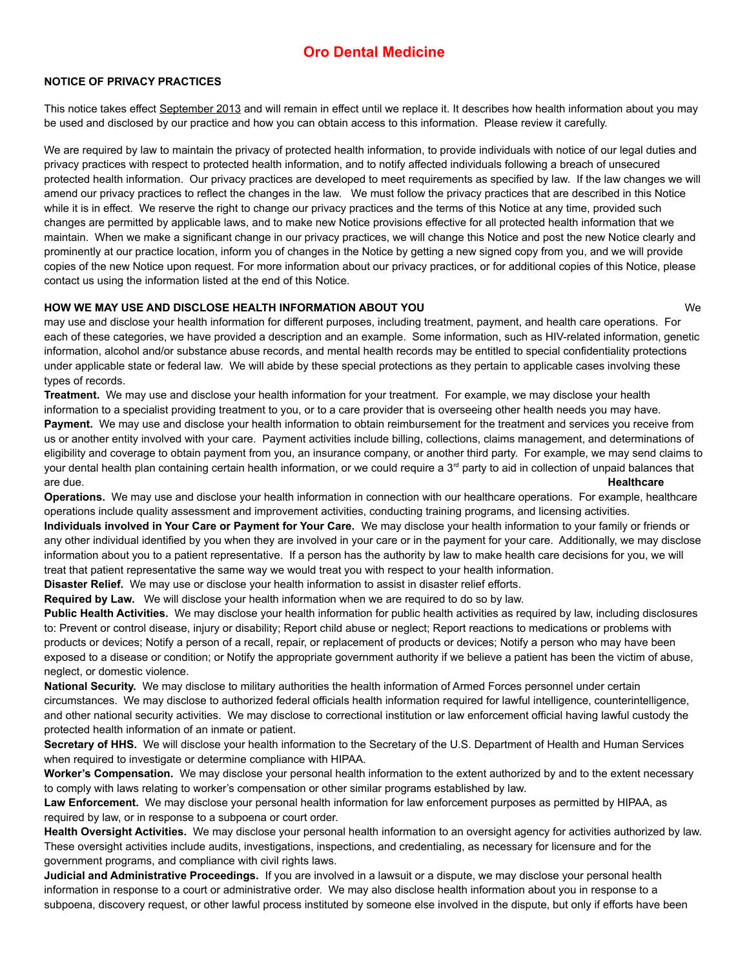# **Oro Dental Medicine**

## **NOTICE OF PRIVACY PRACTICES**

This notice takes effect September 2013 and will remain in effect until we replace it. It describes how health information about you may be used and disclosed by our practice and how you can obtain access to this information. Please review it carefully.

We are required by law to maintain the privacy of protected health information, to provide individuals with notice of our legal duties and privacy practices with respect to protected health information, and to notify affected individuals following a breach of unsecured protected health information. Our privacy practices are developed to meet requirements as specified by law. If the law changes we will amend our privacy practices to reflect the changes in the law. We must follow the privacy practices that are described in this Notice while it is in effect. We reserve the right to change our privacy practices and the terms of this Notice at any time, provided such changes are permitted by applicable laws, and to make new Notice provisions effective for all protected health information that we maintain. When we make a significant change in our privacy practices, we will change this Notice and post the new Notice clearly and prominently at our practice location, inform you of changes in the Notice by getting a new signed copy from you, and we will provide copies of the new Notice upon request. For more information about our privacy practices, or for additional copies of this Notice, please contact us using the information listed at the end of this Notice.

## **HOW WE MAY USE AND DISCLOSE HEALTH INFORMATION ABOUT YOU** We

may use and disclose your health information for different purposes, including treatment, payment, and health care operations. For each of these categories, we have provided a description and an example. Some information, such as HIV-related information, genetic information, alcohol and/or substance abuse records, and mental health records may be entitled to special confidentiality protections under applicable state or federal law. We will abide by these special protections as they pertain to applicable cases involving these types of records.

**Treatment.** We may use and disclose your health information for your treatment. For example, we may disclose your health information to a specialist providing treatment to you, or to a care provider that is overseeing other health needs you may have. Payment. We may use and disclose your health information to obtain reimbursement for the treatment and services you receive from us or another entity involved with your care. Payment activities include billing, collections, claims management, and determinations of eligibility and coverage to obtain payment from you, an insurance company, or another third party. For example, we may send claims to your dental health plan containing certain health information, or we could require a 3<sup>rd</sup> party to aid in collection of unpaid balances that are due. **Healthcare** 

**Operations.** We may use and disclose your health information in connection with our healthcare operations. For example, healthcare operations include quality assessment and improvement activities, conducting training programs, and licensing activities.

**Individuals involved in Your Care or Payment for Your Care.** We may disclose your health information to your family or friends or any other individual identified by you when they are involved in your care or in the payment for your care. Additionally, we may disclose information about you to a patient representative. If a person has the authority by law to make health care decisions for you, we will treat that patient representative the same way we would treat you with respect to your health information.

**Disaster Relief.** We may use or disclose your health information to assist in disaster relief efforts.

**Required by Law.** We will disclose your health information when we are required to do so by law.

**Public Health Activities.** We may disclose your health information for public health activities as required by law, including disclosures to: Prevent or control disease, injury or disability; Report child abuse or neglect; Report reactions to medications or problems with products or devices; Notify a person of a recall, repair, or replacement of products or devices; Notify a person who may have been exposed to a disease or condition; or Notify the appropriate government authority if we believe a patient has been the victim of abuse, neglect, or domestic violence.

**National Security.** We may disclose to military authorities the health information of Armed Forces personnel under certain circumstances. We may disclose to authorized federal officials health information required for lawful intelligence, counterintelligence, and other national security activities. We may disclose to correctional institution or law enforcement official having lawful custody the protected health information of an inmate or patient.

**Secretary of HHS.** We will disclose your health information to the Secretary of the U.S. Department of Health and Human Services when required to investigate or determine compliance with HIPAA.

**Worker's Compensation.** We may disclose your personal health information to the extent authorized by and to the extent necessary to comply with laws relating to worker's compensation or other similar programs established by law.

**Law Enforcement.** We may disclose your personal health information for law enforcement purposes as permitted by HIPAA, as required by law, or in response to a subpoena or court order.

**Health Oversight Activities.** We may disclose your personal health information to an oversight agency for activities authorized by law. These oversight activities include audits, investigations, inspections, and credentialing, as necessary for licensure and for the government programs, and compliance with civil rights laws.

**Judicial and Administrative Proceedings.** If you are involved in a lawsuit or a dispute, we may disclose your personal health information in response to a court or administrative order. We may also disclose health information about you in response to a subpoena, discovery request, or other lawful process instituted by someone else involved in the dispute, but only if efforts have been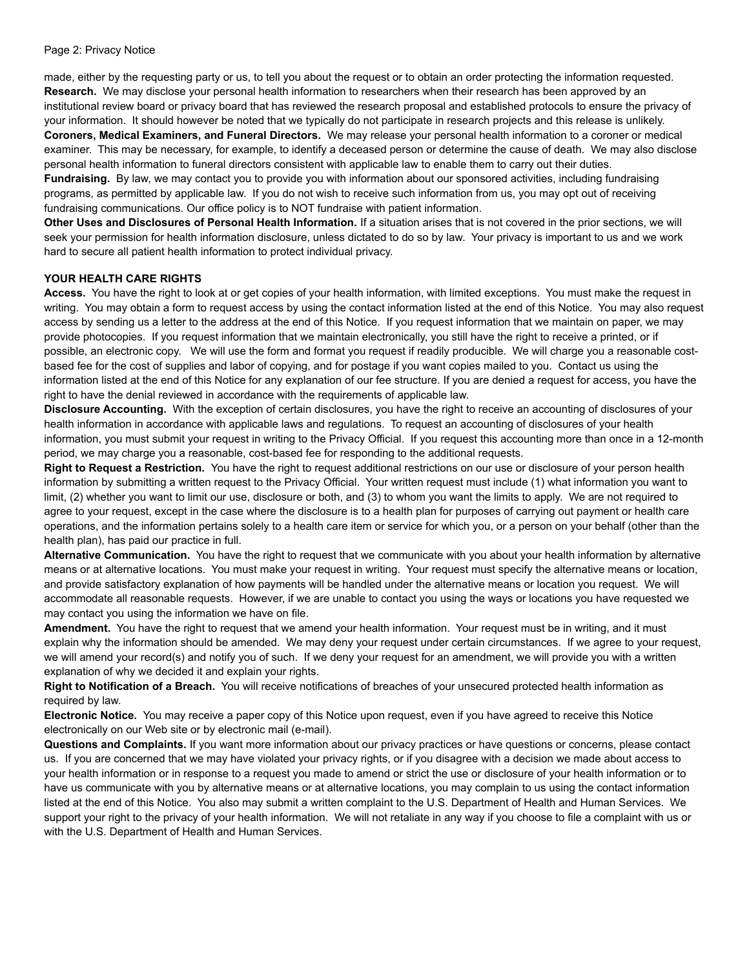#### Page 2: Privacy Notice

made, either by the requesting party or us, to tell you about the request or to obtain an order protecting the information requested. **Research.** We may disclose your personal health information to researchers when their research has been approved by an institutional review board or privacy board that has reviewed the research proposal and established protocols to ensure the privacy of your information. It should however be noted that we typically do not participate in research projects and this release is unlikely. **Coroners, Medical Examiners, and Funeral Directors.** We may release your personal health information to a coroner or medical examiner. This may be necessary, for example, to identify a deceased person or determine the cause of death. We may also disclose personal health information to funeral directors consistent with applicable law to enable them to carry out their duties.

**Fundraising.** By law, we may contact you to provide you with information about our sponsored activities, including fundraising programs, as permitted by applicable law. If you do not wish to receive such information from us, you may opt out of receiving fundraising communications. Our office policy is to NOT fundraise with patient information.

**Other Uses and Disclosures of Personal Health Information.** If a situation arises that is not covered in the prior sections, we will seek your permission for health information disclosure, unless dictated to do so by law. Your privacy is important to us and we work hard to secure all patient health information to protect individual privacy.

## **YOUR HEALTH CARE RIGHTS**

**Access.** You have the right to look at or get copies of your health information, with limited exceptions. You must make the request in writing. You may obtain a form to request access by using the contact information listed at the end of this Notice. You may also request access by sending us a letter to the address at the end of this Notice. If you request information that we maintain on paper, we may provide photocopies. If you request information that we maintain electronically, you still have the right to receive a printed, or if possible, an electronic copy. We will use the form and format you request if readily producible. We will charge you a reasonable costbased fee for the cost of supplies and labor of copying, and for postage if you want copies mailed to you. Contact us using the information listed at the end of this Notice for any explanation of our fee structure. If you are denied a request for access, you have the right to have the denial reviewed in accordance with the requirements of applicable law.

**Disclosure Accounting.** With the exception of certain disclosures, you have the right to receive an accounting of disclosures of your health information in accordance with applicable laws and regulations. To request an accounting of disclosures of your health information, you must submit your request in writing to the Privacy Official. If you request this accounting more than once in a 12-month period, we may charge you a reasonable, cost-based fee for responding to the additional requests.

**Right to Request a Restriction.** You have the right to request additional restrictions on our use or disclosure of your person health information by submitting a written request to the Privacy Official. Your written request must include (1) what information you want to limit, (2) whether you want to limit our use, disclosure or both, and (3) to whom you want the limits to apply. We are not required to agree to your request, except in the case where the disclosure is to a health plan for purposes of carrying out payment or health care operations, and the information pertains solely to a health care item or service for which you, or a person on your behalf (other than the health plan), has paid our practice in full.

**Alternative Communication.** You have the right to request that we communicate with you about your health information by alternative means or at alternative locations. You must make your request in writing. Your request must specify the alternative means or location, and provide satisfactory explanation of how payments will be handled under the alternative means or location you request. We will accommodate all reasonable requests. However, if we are unable to contact you using the ways or locations you have requested we may contact you using the information we have on file.

**Amendment.** You have the right to request that we amend your health information. Your request must be in writing, and it must explain why the information should be amended. We may deny your request under certain circumstances. If we agree to your request, we will amend your record(s) and notify you of such. If we deny your request for an amendment, we will provide you with a written explanation of why we decided it and explain your rights.

**Right to Notification of a Breach.** You will receive notifications of breaches of your unsecured protected health information as required by law.

**Electronic Notice.** You may receive a paper copy of this Notice upon request, even if you have agreed to receive this Notice electronically on our Web site or by electronic mail (e-mail).

**Questions and Complaints.** If you want more information about our privacy practices or have questions or concerns, please contact us. If you are concerned that we may have violated your privacy rights, or if you disagree with a decision we made about access to your health information or in response to a request you made to amend or strict the use or disclosure of your health information or to have us communicate with you by alternative means or at alternative locations, you may complain to us using the contact information listed at the end of this Notice. You also may submit a written complaint to the U.S. Department of Health and Human Services. We support your right to the privacy of your health information. We will not retaliate in any way if you choose to file a complaint with us or with the U.S. Department of Health and Human Services.